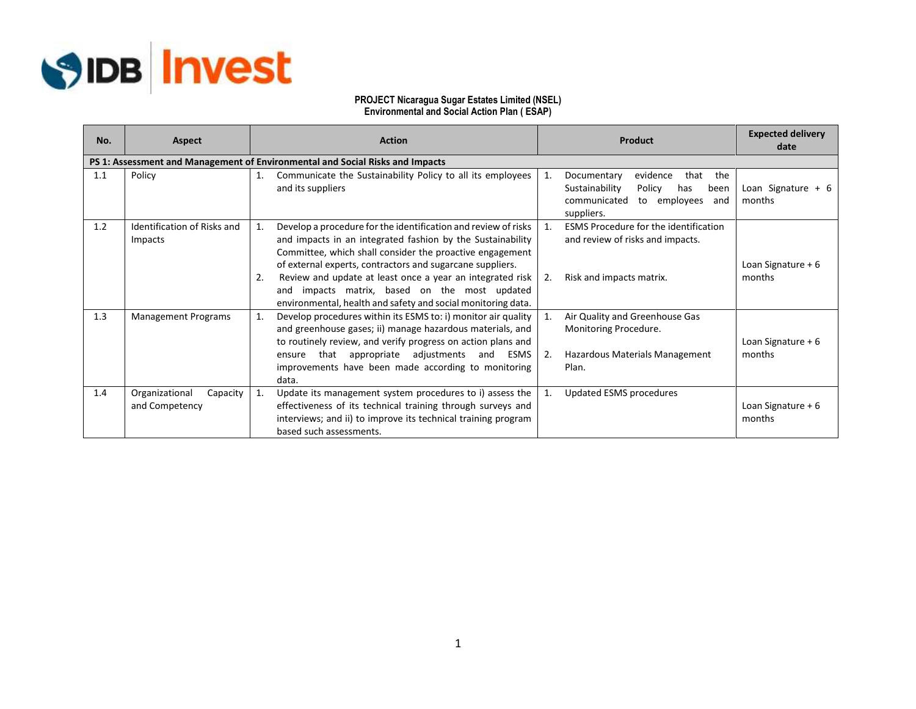

## **PROJECT Nicaragua Sugar Estates Limited (NSEL) Environmental and Social Action Plan ( ESAP)**

| No. | <b>Aspect</b>                                | <b>Action</b>                                                                                                                                                                                                                                                                                                                                                                                                                                      | Product                                                                                                                                      | <b>Expected delivery</b><br>date |
|-----|----------------------------------------------|----------------------------------------------------------------------------------------------------------------------------------------------------------------------------------------------------------------------------------------------------------------------------------------------------------------------------------------------------------------------------------------------------------------------------------------------------|----------------------------------------------------------------------------------------------------------------------------------------------|----------------------------------|
|     |                                              | PS 1: Assessment and Management of Environmental and Social Risks and Impacts                                                                                                                                                                                                                                                                                                                                                                      |                                                                                                                                              |                                  |
| 1.1 | Policy                                       | 1.<br>Communicate the Sustainability Policy to all its employees<br>and its suppliers                                                                                                                                                                                                                                                                                                                                                              | evidence<br>that<br>the<br>Documentary<br>1.<br>Policy<br>Sustainability<br>has<br>been<br>to employees<br>communicated<br>and<br>suppliers. | Loan Signature $+ 6$<br>months   |
| 1.2 | Identification of Risks and<br>Impacts       | Develop a procedure for the identification and review of risks<br>1.<br>and impacts in an integrated fashion by the Sustainability<br>Committee, which shall consider the proactive engagement<br>of external experts, contractors and sugarcane suppliers.<br>Review and update at least once a year an integrated risk<br>2.<br>impacts matrix, based on the most updated<br>and<br>environmental, health and safety and social monitoring data. | <b>ESMS Procedure for the identification</b><br>1.<br>and review of risks and impacts.<br>Risk and impacts matrix.<br>2.                     | Loan Signature + 6<br>months     |
| 1.3 | <b>Management Programs</b>                   | Develop procedures within its ESMS to: i) monitor air quality<br>and greenhouse gases; ii) manage hazardous materials, and<br>to routinely review, and verify progress on action plans and<br>that appropriate adjustments and ESMS<br>ensure<br>improvements have been made according to monitoring<br>data.                                                                                                                                      | Air Quality and Greenhouse Gas<br>$\mathbf{1}$ .<br>Monitoring Procedure.<br>Hazardous Materials Management<br>2.<br>Plan.                   | Loan Signature $+6$<br>months    |
| 1.4 | Organizational<br>Capacity<br>and Competency | Update its management system procedures to i) assess the<br>1.<br>effectiveness of its technical training through surveys and<br>interviews; and ii) to improve its technical training program<br>based such assessments.                                                                                                                                                                                                                          | Updated ESMS procedures<br>1.                                                                                                                | Loan Signature + 6<br>months     |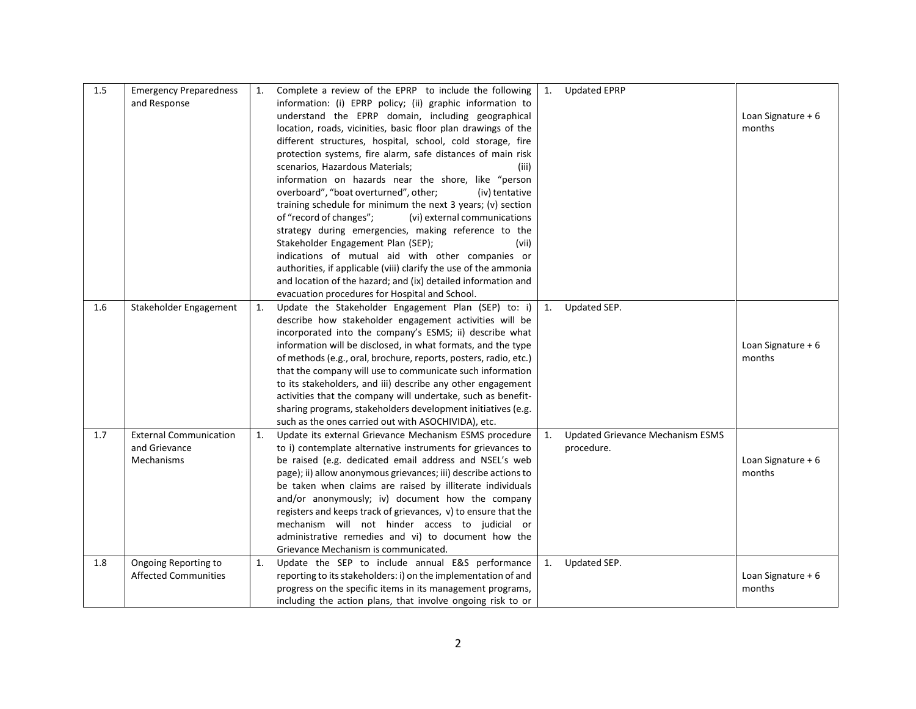| 1.5 | <b>Emergency Preparedness</b> | 1. | Complete a review of the EPRP to include the following           | 1.             | <b>Updated EPRP</b>                     |                    |
|-----|-------------------------------|----|------------------------------------------------------------------|----------------|-----------------------------------------|--------------------|
|     | and Response                  |    | information: (i) EPRP policy; (ii) graphic information to        |                |                                         |                    |
|     |                               |    | understand the EPRP domain, including geographical               |                |                                         | Loan Signature + 6 |
|     |                               |    | location, roads, vicinities, basic floor plan drawings of the    |                |                                         | months             |
|     |                               |    | different structures, hospital, school, cold storage, fire       |                |                                         |                    |
|     |                               |    | protection systems, fire alarm, safe distances of main risk      |                |                                         |                    |
|     |                               |    | scenarios, Hazardous Materials;<br>(iii)                         |                |                                         |                    |
|     |                               |    | information on hazards near the shore, like "person              |                |                                         |                    |
|     |                               |    | overboard", "boat overturned", other;<br>(iv) tentative          |                |                                         |                    |
|     |                               |    | training schedule for minimum the next 3 years; (v) section      |                |                                         |                    |
|     |                               |    | of "record of changes";<br>(vi) external communications          |                |                                         |                    |
|     |                               |    | strategy during emergencies, making reference to the             |                |                                         |                    |
|     |                               |    | Stakeholder Engagement Plan (SEP);<br>(vii)                      |                |                                         |                    |
|     |                               |    | indications of mutual aid with other companies or                |                |                                         |                    |
|     |                               |    | authorities, if applicable (viii) clarify the use of the ammonia |                |                                         |                    |
|     |                               |    | and location of the hazard; and (ix) detailed information and    |                |                                         |                    |
|     |                               |    | evacuation procedures for Hospital and School.                   |                |                                         |                    |
| 1.6 | Stakeholder Engagement        | 1. | Update the Stakeholder Engagement Plan (SEP) to: i)              | $\mathbf{1}$ . | Updated SEP.                            |                    |
|     |                               |    | describe how stakeholder engagement activities will be           |                |                                         |                    |
|     |                               |    | incorporated into the company's ESMS; ii) describe what          |                |                                         |                    |
|     |                               |    | information will be disclosed, in what formats, and the type     |                |                                         | Loan Signature + 6 |
|     |                               |    | of methods (e.g., oral, brochure, reports, posters, radio, etc.) |                |                                         | months             |
|     |                               |    | that the company will use to communicate such information        |                |                                         |                    |
|     |                               |    | to its stakeholders, and iii) describe any other engagement      |                |                                         |                    |
|     |                               |    | activities that the company will undertake, such as benefit-     |                |                                         |                    |
|     |                               |    | sharing programs, stakeholders development initiatives (e.g.     |                |                                         |                    |
|     |                               |    | such as the ones carried out with ASOCHIVIDA), etc.              |                |                                         |                    |
| 1.7 | <b>External Communication</b> | 1. | Update its external Grievance Mechanism ESMS procedure           | 1.             | <b>Updated Grievance Mechanism ESMS</b> |                    |
|     | and Grievance                 |    | to i) contemplate alternative instruments for grievances to      |                | procedure.                              |                    |
|     | Mechanisms                    |    | be raised (e.g. dedicated email address and NSEL's web           |                |                                         | Loan Signature + 6 |
|     |                               |    | page); ii) allow anonymous grievances; iii) describe actions to  |                |                                         | months             |
|     |                               |    | be taken when claims are raised by illiterate individuals        |                |                                         |                    |
|     |                               |    | and/or anonymously; iv) document how the company                 |                |                                         |                    |
|     |                               |    | registers and keeps track of grievances, v) to ensure that the   |                |                                         |                    |
|     |                               |    | mechanism will not hinder access to judicial or                  |                |                                         |                    |
|     |                               |    | administrative remedies and vi) to document how the              |                |                                         |                    |
|     |                               |    | Grievance Mechanism is communicated.                             |                |                                         |                    |
| 1.8 | Ongoing Reporting to          | 1. | Update the SEP to include annual E&S performance                 | 1.             | Updated SEP.                            |                    |
|     | <b>Affected Communities</b>   |    | reporting to its stakeholders: i) on the implementation of and   |                |                                         | Loan Signature + 6 |
|     |                               |    | progress on the specific items in its management programs,       |                |                                         | months             |
|     |                               |    | including the action plans, that involve ongoing risk to or      |                |                                         |                    |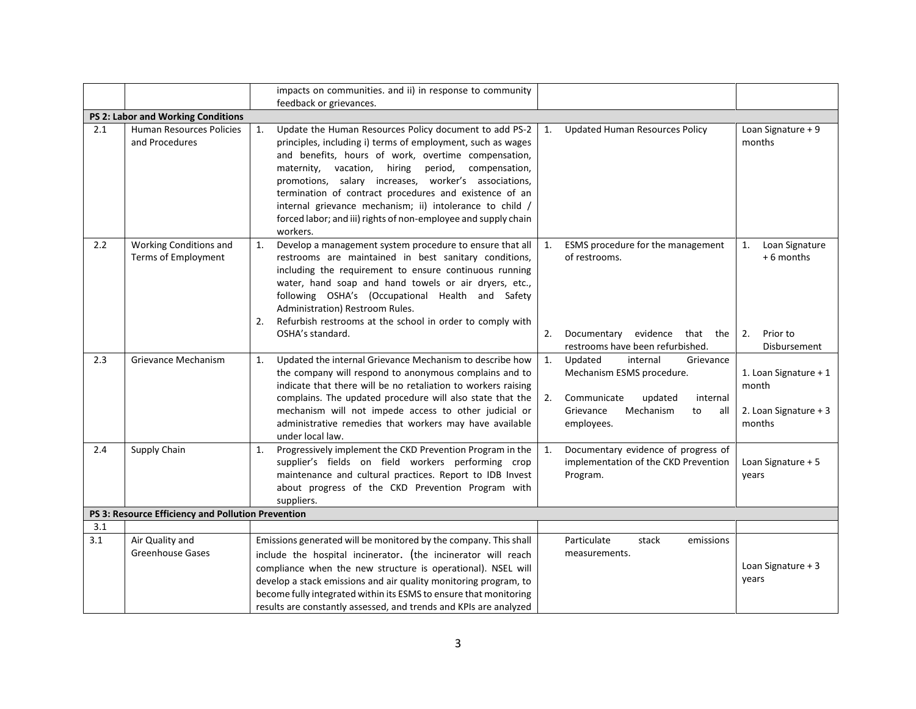|     |                                                    | impacts on communities. and ii) in response to community<br>feedback or grievances.                                                                                                                                                                                                                                                                                                                                                                                                                                                                                                |                                                                     |
|-----|----------------------------------------------------|------------------------------------------------------------------------------------------------------------------------------------------------------------------------------------------------------------------------------------------------------------------------------------------------------------------------------------------------------------------------------------------------------------------------------------------------------------------------------------------------------------------------------------------------------------------------------------|---------------------------------------------------------------------|
|     | PS 2: Labor and Working Conditions                 |                                                                                                                                                                                                                                                                                                                                                                                                                                                                                                                                                                                    |                                                                     |
| 2.1 | Human Resources Policies<br>and Procedures         | Update the Human Resources Policy document to add PS-2<br><b>Updated Human Resources Policy</b><br>1.<br>1.<br>principles, including i) terms of employment, such as wages<br>and benefits, hours of work, overtime compensation,<br>maternity, vacation,<br>hiring<br>period,<br>compensation,<br>promotions, salary increases, worker's associations,<br>termination of contract procedures and existence of an<br>internal grievance mechanism; ii) intolerance to child /<br>forced labor; and iii) rights of non-employee and supply chain<br>workers.                        | Loan Signature + 9<br>months                                        |
| 2.2 | Working Conditions and<br>Terms of Employment      | Develop a management system procedure to ensure that all<br>1.<br>ESMS procedure for the management<br>1.<br>of restrooms.<br>restrooms are maintained in best sanitary conditions,<br>including the requirement to ensure continuous running<br>water, hand soap and hand towels or air dryers, etc.,<br>following OSHA's (Occupational Health and Safety<br>Administration) Restroom Rules.<br>Refurbish restrooms at the school in order to comply with<br>2.<br>Documentary evidence that the<br>OSHA's standard.<br>2.<br>restrooms have been refurbished.                    | Loan Signature<br>1.<br>+6 months<br>Prior to<br>2.<br>Disbursement |
| 2.3 | Grievance Mechanism                                | Updated the internal Grievance Mechanism to describe how<br>1.<br>Updated<br>internal<br>$\mathbf{1}$ .<br>Grievance<br>the company will respond to anonymous complains and to<br>Mechanism ESMS procedure.<br>indicate that there will be no retaliation to workers raising<br>complains. The updated procedure will also state that the<br>2.<br>Communicate<br>updated<br>internal<br>mechanism will not impede access to other judicial or<br>Mechanism<br>Grievance<br>to<br>all<br>administrative remedies that workers may have available<br>employees.<br>under local law. | 1. Loan Signature + 1<br>month<br>2. Loan Signature + 3<br>months   |
| 2.4 | Supply Chain                                       | Progressively implement the CKD Prevention Program in the<br>Documentary evidence of progress of<br>1.<br>1.<br>supplier's fields on field workers performing crop<br>implementation of the CKD Prevention<br>maintenance and cultural practices. Report to IDB Invest<br>Program.<br>about progress of the CKD Prevention Program with<br>suppliers.                                                                                                                                                                                                                              | Loan Signature + 5<br>years                                         |
|     | PS 3: Resource Efficiency and Pollution Prevention |                                                                                                                                                                                                                                                                                                                                                                                                                                                                                                                                                                                    |                                                                     |
| 3.1 |                                                    |                                                                                                                                                                                                                                                                                                                                                                                                                                                                                                                                                                                    |                                                                     |
| 3.1 | Air Quality and<br><b>Greenhouse Gases</b>         | Emissions generated will be monitored by the company. This shall<br>Particulate<br>stack<br>emissions<br>measurements.<br>include the hospital incinerator. (the incinerator will reach<br>compliance when the new structure is operational). NSEL will<br>develop a stack emissions and air quality monitoring program, to<br>become fully integrated within its ESMS to ensure that monitoring<br>results are constantly assessed, and trends and KPIs are analyzed                                                                                                              | Loan Signature + 3<br>years                                         |